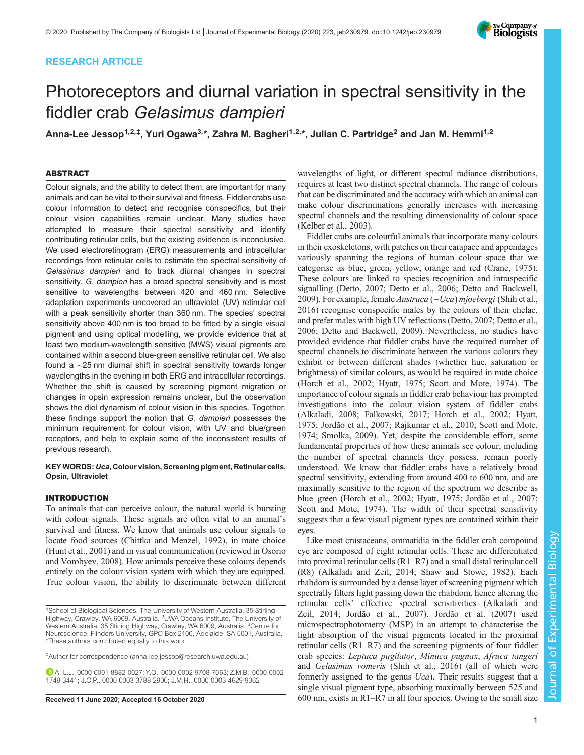# RESEARCH ARTICLE



# Photoreceptors and diurnal variation in spectral sensitivity in the fiddler crab Gelasimus dampieri

Anna-Lee Jessop<sup>1,2,‡</sup>, Yuri Ogawa<sup>3,</sup>\*, Zahra M. Bagheri<sup>1,2,</sup>\*, Julian C. Partridge<sup>2</sup> and Jan M. Hemmi<sup>1,2</sup>

# ABSTRACT

Colour signals, and the ability to detect them, are important for many animals and can be vital to their survival and fitness. Fiddler crabs use colour information to detect and recognise conspecifics, but their colour vision capabilities remain unclear. Many studies have attempted to measure their spectral sensitivity and identify contributing retinular cells, but the existing evidence is inconclusive. We used electroretinogram (ERG) measurements and intracellular recordings from retinular cells to estimate the spectral sensitivity of Gelasimus dampieri and to track diurnal changes in spectral sensitivity. G. dampieri has a broad spectral sensitivity and is most sensitive to wavelengths between 420 and 460 nm. Selective adaptation experiments uncovered an ultraviolet (UV) retinular cell with a peak sensitivity shorter than 360 nm. The species' spectral sensitivity above 400 nm is too broad to be fitted by a single visual pigment and using optical modelling, we provide evidence that at least two medium-wavelength sensitive (MWS) visual pigments are contained within a second blue-green sensitive retinular cell. We also found a ∼25 nm diurnal shift in spectral sensitivity towards longer wavelengths in the evening in both ERG and intracellular recordings. Whether the shift is caused by screening pigment migration or changes in opsin expression remains unclear, but the observation shows the diel dynamism of colour vision in this species. Together, these findings support the notion that G. dampieri possesses the minimum requirement for colour vision, with UV and blue/green receptors, and help to explain some of the inconsistent results of previous research.

## KEY WORDS: Uca, Colour vision, Screening pigment, Retinular cells, Opsin, Ultraviolet

# **INTRODUCTION**

To animals that can perceive colour, the natural world is bursting with colour signals. These signals are often vital to an animal's survival and fitness. We know that animals use colour signals to locate food sources [\(Chittka and Menzel, 1992\)](#page-10-0), in mate choice [\(Hunt et al., 2001\)](#page-10-0) and in visual communication (reviewed in [Osorio](#page-10-0) [and Vorobyev, 2008\).](#page-10-0) How animals perceive these colours depends entirely on the colour vision system with which they are equipped. True colour vision, the ability to discriminate between different

wavelengths of light, or different spectral radiance distributions, requires at least two distinct spectral channels. The range of colours that can be discriminated and the accuracy with which an animal can make colour discriminations generally increases with increasing spectral channels and the resulting dimensionality of colour space [\(Kelber et al., 2003\)](#page-10-0).

Fiddler crabs are colourful animals that incorporate many colours in their exoskeletons, with patches on their carapace and appendages variously spanning the regions of human colour space that we categorise as blue, green, yellow, orange and red [\(Crane, 1975\)](#page-10-0). These colours are linked to species recognition and intraspecific signalling ([Detto, 2007](#page-10-0); [Detto et al., 2006; Detto and Backwell,](#page-10-0) [2009\)](#page-10-0). For example, female *Austruca* (=Uca) mjoebergi ([Shih et al.,](#page-11-0) [2016\)](#page-11-0) recognise conspecific males by the colours of their chelae, and prefer males with high UV reflections [\(Detto, 2007; Detto et al.,](#page-10-0) [2006; Detto and Backwell, 2009\)](#page-10-0). Nevertheless, no studies have provided evidence that fiddler crabs have the required number of spectral channels to discriminate between the various colours they exhibit or between different shades (whether hue, saturation or brightness) of similar colours, as would be required in mate choice [\(Horch et al., 2002; Hyatt, 1975;](#page-10-0) [Scott and Mote, 1974](#page-11-0)). The importance of colour signals in fiddler crab behaviour has prompted investigations into the colour vision system of fiddler crabs [\(Alkaladi, 2008](#page-10-0); [Falkowski, 2017](#page-10-0); [Horch et al., 2002](#page-10-0); [Hyatt,](#page-10-0) [1975; Jordão et al., 2007](#page-10-0); [Rajkumar et al., 2010](#page-10-0); [Scott and Mote,](#page-11-0) [1974; Smolka, 2009](#page-11-0)). Yet, despite the considerable effort, some fundamental properties of how these animals see colour, including the number of spectral channels they possess, remain poorly understood. We know that fiddler crabs have a relatively broad spectral sensitivity, extending from around 400 to 600 nm, and are maximally sensitive to the region of the spectrum we describe as blue–green [\(Horch et al., 2002](#page-10-0); [Hyatt, 1975; Jordão et al., 2007](#page-10-0); [Scott and Mote, 1974\)](#page-11-0). The width of their spectral sensitivity suggests that a few visual pigment types are contained within their eyes.

Like most crustaceans, ommatidia in the fiddler crab compound eye are composed of eight retinular cells. These are differentiated into proximal retinular cells (R1–R7) and a small distal retinular cell (R8) [\(Alkaladi and Zeil, 2014](#page-10-0); [Shaw and Stowe, 1982](#page-11-0)). Each rhabdom is surrounded by a dense layer of screening pigment which spectrally filters light passing down the rhabdom, hence altering the retinular cells' effective spectral sensitivities [\(Alkaladi and](#page-10-0) [Zeil, 2014; Jordão et al., 2007](#page-10-0)). [Jordão et al. \(2007\)](#page-10-0) used microspectrophotometry (MSP) in an attempt to characterise the light absorption of the visual pigments located in the proximal retinular cells (R1–R7) and the screening pigments of four fiddler crab species: Leptuca pugilator, Minuca pugnax, Afruca tangeri and Gelasimus vomeris [\(Shih et al., 2016\)](#page-11-0) (all of which were formerly assigned to the genus Uca). Their results suggest that a single visual pigment type, absorbing maximally between 525 and Received 11 June 2020; Accepted 16 October 2020 600 nm, exists in R1–R7 in all four species. Owing to the small size

<sup>&</sup>lt;sup>1</sup>School of Biological Sciences, The University of Western Australia, 35 Stirling Highway, Crawley, WA 6009, Australia. <sup>2</sup>UWA Oceans Institute, The University of Western Australia, 35 Stirling Highway, Crawley, WA 6009, Australia. <sup>3</sup>Centre for Neuroscience, Flinders University, GPO Box 2100, Adelaide, SA 5001, Australia. \*These authors contributed equally to this work

<sup>‡</sup> Author for correspondence ([anna-lee.jessop@research.uwa.edu.au\)](mailto:anna-lee.jessop@research.uwa.edu.au)

A.-L.J., [0000-0001-8882-0027](http://orcid.org/0000-0001-8882-0027); Y.O., [0000-0002-9708-7063;](http://orcid.org/0000-0002-9708-7063) Z.M.B., [0000-0002-](http://orcid.org/0000-0002-1749-3441) [1749-3441](http://orcid.org/0000-0002-1749-3441); J.C.P., [0000-0003-3788-2900;](http://orcid.org/0000-0003-3788-2900) J.M.H., [0000-0003-4629-9362](http://orcid.org/0000-0003-4629-9362)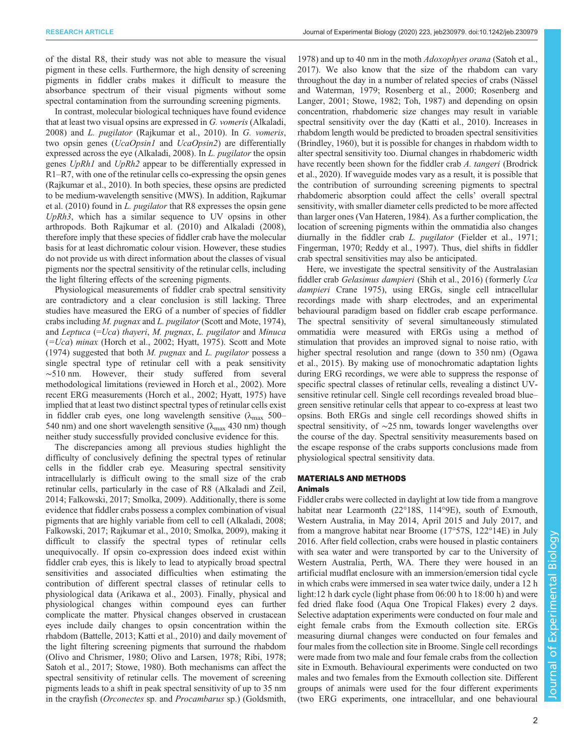of the distal R8, their study was not able to measure the visual pigment in these cells. Furthermore, the high density of screening pigments in fiddler crabs makes it difficult to measure the absorbance spectrum of their visual pigments without some spectral contamination from the surrounding screening pigments.

In contrast, molecular biological techniques have found evidence that at least two visual opsins are expressed in G. vomeris [\(Alkaladi,](#page-10-0) [2008](#page-10-0)) and L. pugilator [\(Rajkumar et al., 2010\)](#page-10-0). In G. vomeris, two opsin genes (*UcaOpsin1* and *UcaOpsin2*) are differentially expressed across the eye [\(Alkaladi, 2008](#page-10-0)). In L. pugilator the opsin genes UpRh1 and UpRh2 appear to be differentially expressed in R1–R7, with one of the retinular cells co-expressing the opsin genes [\(Rajkumar et al., 2010\)](#page-10-0). In both species, these opsins are predicted to be medium-wavelength sensitive (MWS). In addition, [Rajkumar](#page-10-0) [et al. \(2010\)](#page-10-0) found in L. pugilator that R8 expresses the opsin gene  $UpRh3$ , which has a similar sequence to UV opsins in other arthropods. Both [Rajkumar et al. \(2010\)](#page-10-0) and [Alkaladi \(2008\),](#page-10-0) therefore imply that these species of fiddler crab have the molecular basis for at least dichromatic colour vision. However, these studies do not provide us with direct information about the classes of visual pigments nor the spectral sensitivity of the retinular cells, including the light filtering effects of the screening pigments.

Physiological measurements of fiddler crab spectral sensitivity are contradictory and a clear conclusion is still lacking. Three studies have measured the ERG of a number of species of fiddler crabs including M. pugnax and L. pugilator [\(Scott and Mote, 1974\)](#page-11-0), and Leptuca  $(=Uca)$  thayeri, M. pugnax, L. pugilator and Minuca  $(=Uca)$  minax [\(Horch et al., 2002](#page-10-0); [Hyatt, 1975](#page-10-0)). [Scott and Mote](#page-11-0) [\(1974\)](#page-11-0) suggested that both  $M$ . pugnax and  $L$ . pugilator possess a single spectral type of retinular cell with a peak sensitivity ∼510 nm. However, their study suffered from several methodological limitations (reviewed in [Horch et al., 2002\).](#page-10-0) More recent ERG measurements ([Horch et al., 2002; Hyatt, 1975](#page-10-0)) have implied that at least two distinct spectral types of retinular cells exist in fiddler crab eyes, one long wavelength sensitive ( $\lambda_{\text{max}}$  500– 540 nm) and one short wavelength sensitive ( $\lambda_{\text{max}}$  430 nm) though neither study successfully provided conclusive evidence for this.

The discrepancies among all previous studies highlight the difficulty of conclusively defining the spectral types of retinular cells in the fiddler crab eye. Measuring spectral sensitivity intracellularly is difficult owing to the small size of the crab retinular cells, particularly in the case of R8 ([Alkaladi and Zeil,](#page-10-0) [2014](#page-10-0); [Falkowski, 2017](#page-10-0); [Smolka, 2009](#page-11-0)). Additionally, there is some evidence that fiddler crabs possess a complex combination of visual pigments that are highly variable from cell to cell ([Alkaladi, 2008](#page-10-0); [Falkowski, 2017; Rajkumar et al., 2010;](#page-10-0) [Smolka, 2009\)](#page-11-0), making it difficult to classify the spectral types of retinular cells unequivocally. If opsin co-expression does indeed exist within fiddler crab eyes, this is likely to lead to atypically broad spectral sensitivities and associated difficulties when estimating the contribution of different spectral classes of retinular cells to physiological data ([Arikawa et al., 2003\)](#page-10-0). Finally, physical and physiological changes within compound eyes can further complicate the matter. Physical changes observed in crustacean eyes include daily changes to opsin concentration within the rhabdom [\(Battelle, 2013; Katti et al., 2010\)](#page-10-0) and daily movement of the light filtering screening pigments that surround the rhabdom [\(Olivo and Chrismer, 1980; Olivo and Larsen, 1978](#page-10-0); [Ribi, 1978](#page-11-0); [Satoh et al., 2017; Stowe, 1980\)](#page-11-0). Both mechanisms can affect the spectral sensitivity of retinular cells. The movement of screening pigments leads to a shift in peak spectral sensitivity of up to 35 nm in the crayfish (Orconectes sp. and Procambarus sp.) ([Goldsmith,](#page-10-0)

[1978\)](#page-10-0) and up to 40 nm in the moth Adoxophyes orana [\(Satoh et al.,](#page-11-0) [2017\)](#page-11-0). We also know that the size of the rhabdom can vary throughout the day in a number of related species of crabs ([Nässel](#page-10-0) [and Waterman, 1979](#page-10-0); [Rosenberg et al., 2000](#page-11-0); [Rosenberg and](#page-11-0) [Langer, 2001; Stowe, 1982; Toh, 1987\)](#page-11-0) and depending on opsin concentration, rhabdomeric size changes may result in variable spectral sensitivity over the day [\(Katti et al., 2010](#page-10-0)). Increases in rhabdom length would be predicted to broaden spectral sensitivities [\(Brindley, 1960](#page-10-0)), but it is possible for changes in rhabdom width to alter spectral sensitivity too. Diurnal changes in rhabdomeric width have recently been shown for the fiddler crab A. tangeri ([Brodrick](#page-10-0) [et al., 2020\)](#page-10-0). If waveguide modes vary as a result, it is possible that the contribution of surrounding screening pigments to spectral rhabdomeric absorption could affect the cells' overall spectral sensitivity, with smaller diameter cells predicted to be more affected than larger ones [\(Van Hateren, 1984](#page-11-0)). As a further complication, the location of screening pigments within the ommatidia also changes diurnally in the fiddler crab L. pugilator ([Fielder et al., 1971](#page-10-0); [Fingerman, 1970](#page-10-0); [Reddy et al., 1997\)](#page-11-0). Thus, diel shifts in fiddler crab spectral sensitivities may also be anticipated.

Here, we investigate the spectral sensitivity of the Australasian fiddler crab Gelasimus dampieri ([Shih et al., 2016](#page-11-0)) (formerly Uca dampieri [Crane 1975](#page-10-0)), using ERGs, single cell intracellular recordings made with sharp electrodes, and an experimental behavioural paradigm based on fiddler crab escape performance. The spectral sensitivity of several simultaneously stimulated ommatidia were measured with ERGs using a method of stimulation that provides an improved signal to noise ratio, with higher spectral resolution and range (down to 350 nm) ([Ogawa](#page-10-0) [et al., 2015](#page-10-0)). By making use of monochromatic adaptation lights during ERG recordings, we were able to suppress the response of specific spectral classes of retinular cells, revealing a distinct UVsensitive retinular cell. Single cell recordings revealed broad blue– green sensitive retinular cells that appear to co-express at least two opsins. Both ERGs and single cell recordings showed shifts in spectral sensitivity, of ∼25 nm, towards longer wavelengths over the course of the day. Spectral sensitivity measurements based on the escape response of the crabs supports conclusions made from physiological spectral sensitivity data.

# MATERIALS AND METHODS Animals

Fiddler crabs were collected in daylight at low tide from a mangrove habitat near Learmonth (22°18S, 114°9E), south of Exmouth, Western Australia, in May 2014, April 2015 and July 2017, and from a mangrove habitat near Broome (17°57S, 122°14E) in July 2016. After field collection, crabs were housed in plastic containers with sea water and were transported by car to the University of Western Australia, Perth, WA. There they were housed in an artificial mudflat enclosure with an immersion/emersion tidal cycle in which crabs were immersed in sea water twice daily, under a 12 h light:12 h dark cycle (light phase from 06:00 h to 18:00 h) and were fed dried flake food (Aqua One Tropical Flakes) every 2 days. Selective adaptation experiments were conducted on four male and eight female crabs from the Exmouth collection site. ERGs measuring diurnal changes were conducted on four females and four males from the collection site in Broome. Single cell recordings were made from two male and four female crabs from the collection site in Exmouth. Behavioural experiments were conducted on two males and two females from the Exmouth collection site. Different groups of animals were used for the four different experiments (two ERG experiments, one intracellular, and one behavioural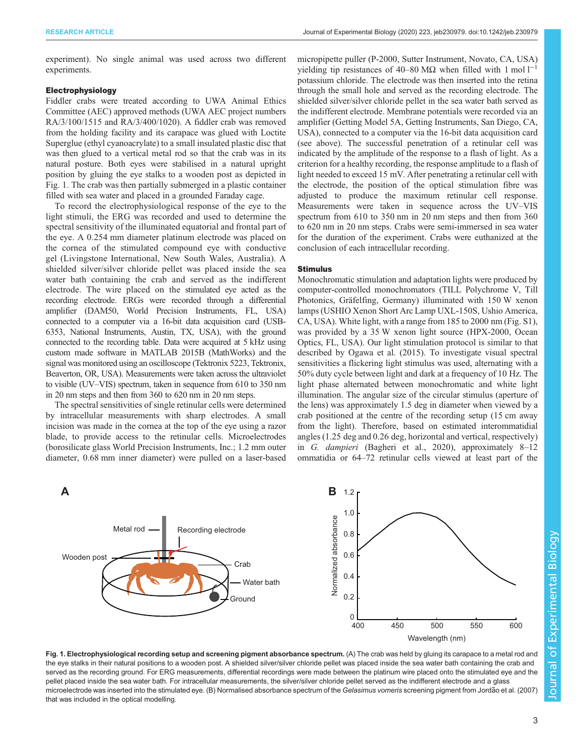<span id="page-2-0"></span>experiment). No single animal was used across two different experiments.

## Electrophysiology

Fiddler crabs were treated according to UWA Animal Ethics Committee (AEC) approved methods (UWA AEC project numbers RA/3/100/1515 and RA/3/400/1020). A fiddler crab was removed from the holding facility and its carapace was glued with Loctite Superglue (ethyl cyanoacrylate) to a small insulated plastic disc that was then glued to a vertical metal rod so that the crab was in its natural posture. Both eyes were stabilised in a natural upright position by gluing the eye stalks to a wooden post as depicted in Fig. 1. The crab was then partially submerged in a plastic container filled with sea water and placed in a grounded Faraday cage.

To record the electrophysiological response of the eye to the light stimuli, the ERG was recorded and used to determine the spectral sensitivity of the illuminated equatorial and frontal part of the eye. A 0.254 mm diameter platinum electrode was placed on the cornea of the stimulated compound eye with conductive gel (Livingstone International, New South Wales, Australia). A shielded silver/silver chloride pellet was placed inside the sea water bath containing the crab and served as the indifferent electrode. The wire placed on the stimulated eye acted as the recording electrode. ERGs were recorded through a differential amplifier (DAM50, World Precision Instruments, FL, USA) connected to a computer via a 16-bit data acquisition card (USB-6353, National Instruments, Austin, TX, USA), with the ground connected to the recording table. Data were acquired at 5 kHz using custom made software in MATLAB 2015B (MathWorks) and the signal was monitored using an oscilloscope (Tektronix 5223, Tektronix, Beaverton, OR, USA). Measurements were taken across the ultraviolet to visible (UV–VIS) spectrum, taken in sequence from 610 to 350 nm in 20 nm steps and then from 360 to 620 nm in 20 nm steps.

The spectral sensitivities of single retinular cells were determined by intracellular measurements with sharp electrodes. A small incision was made in the cornea at the top of the eye using a razor blade, to provide access to the retinular cells. Microelectrodes (borosilicate glass World Precision Instruments, Inc.; 1.2 mm outer diameter, 0.68 mm inner diameter) were pulled on a laser-based

micropipette puller (P-2000, Sutter Instrument, Novato, CA, USA) yielding tip resistances of 40–80 MΩ when filled with 1 mol  $l^{-1}$ potassium chloride. The electrode was then inserted into the retina through the small hole and served as the recording electrode. The shielded silver/silver chloride pellet in the sea water bath served as the indifferent electrode. Membrane potentials were recorded via an amplifier (Getting Model 5A, Getting Instruments, San Diego, CA, USA), connected to a computer via the 16-bit data acquisition card (see above). The successful penetration of a retinular cell was indicated by the amplitude of the response to a flash of light. As a criterion for a healthy recording, the response amplitude to a flash of light needed to exceed 15 mV. After penetrating a retinular cell with the electrode, the position of the optical stimulation fibre was adjusted to produce the maximum retinular cell response. Measurements were taken in sequence across the UV–VIS spectrum from 610 to 350 nm in 20 nm steps and then from 360 to 620 nm in 20 nm steps. Crabs were semi-immersed in sea water for the duration of the experiment. Crabs were euthanized at the conclusion of each intracellular recording.

## Stimulus

Monochromatic stimulation and adaptation lights were produced by computer-controlled monochromators (TILL Polychrome V, Till Photonics, Gräfelfing, Germany) illuminated with 150 W xenon lamps (USHIO Xenon Short Arc Lamp UXL-150S, Ushio America, CA, USA). White light, with a range from 185 to 2000 nm ([Fig. S1\)](https://jeb.biologists.org/lookup/doi/10.1242/jeb.230979.supplemental), was provided by a 35 W xenon light source (HPX-2000, Ocean Optics, FL, USA). Our light stimulation protocol is similar to that described by [Ogawa et al. \(2015\)](#page-10-0). To investigate visual spectral sensitivities a flickering light stimulus was used, alternating with a 50% duty cycle between light and dark at a frequency of 10 Hz. The light phase alternated between monochromatic and white light illumination. The angular size of the circular stimulus (aperture of the lens) was approximately 1.5 deg in diameter when viewed by a crab positioned at the centre of the recording setup (15 cm away from the light). Therefore, based on estimated interommatidial angles (1.25 deg and 0.26 deg, horizontal and vertical, respectively) in G. dampieri ([Bagheri et al., 2020](#page-10-0)), approximately 8–12 ommatidia or 64–72 retinular cells viewed at least part of the



Fig. 1. Electrophysiological recording setup and screening pigment absorbance spectrum. (A) The crab was held by gluing its carapace to a metal rod and the eye stalks in their natural positions to a wooden post. A shielded silver/silver chloride pellet was placed inside the sea water bath containing the crab and served as the recording ground. For ERG measurements, differential recordings were made between the platinum wire placed onto the stimulated eye and the pellet placed inside the sea water bath. For intracellular measurements, the silver/silver chloride pellet served as the indifferent electrode and a glass microelectrode was inserted into the stimulated eye. (B) Normalised absorbance spectrum of the *Gelasimus vomeris* screening pigment from Jordã[o et al. \(2007\)](#page-10-0) that was included in the optical modelling.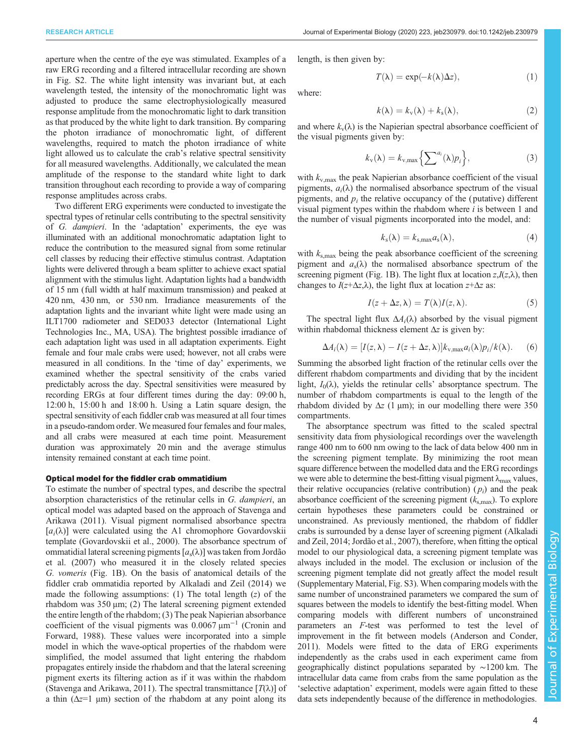aperture when the centre of the eye was stimulated. Examples of a raw ERG recording and a filtered intracellular recording are shown in [Fig. S2.](https://jeb.biologists.org/lookup/doi/10.1242/jeb.230979.supplemental) The white light intensity was invariant but, at each wavelength tested, the intensity of the monochromatic light was adjusted to produce the same electrophysiologically measured response amplitude from the monochromatic light to dark transition as that produced by the white light to dark transition. By comparing the photon irradiance of monochromatic light, of different wavelengths, required to match the photon irradiance of white light allowed us to calculate the crab's relative spectral sensitivity for all measured wavelengths. Additionally, we calculated the mean amplitude of the response to the standard white light to dark transition throughout each recording to provide a way of comparing response amplitudes across crabs.

Two different ERG experiments were conducted to investigate the spectral types of retinular cells contributing to the spectral sensitivity of G. dampieri. In the 'adaptation' experiments, the eye was illuminated with an additional monochromatic adaptation light to reduce the contribution to the measured signal from some retinular cell classes by reducing their effective stimulus contrast. Adaptation lights were delivered through a beam splitter to achieve exact spatial alignment with the stimulus light. Adaptation lights had a bandwidth of 15 nm (full width at half maximum transmission) and peaked at 420 nm, 430 nm, or 530 nm. Irradiance measurements of the adaptation lights and the invariant white light were made using an ILT1700 radiometer and SED033 detector (International Light Technologies Inc., MA, USA). The brightest possible irradiance of each adaptation light was used in all adaptation experiments. Eight female and four male crabs were used; however, not all crabs were measured in all conditions. In the 'time of day' experiments, we examined whether the spectral sensitivity of the crabs varied predictably across the day. Spectral sensitivities were measured by recording ERGs at four different times during the day: 09:00 h, 12:00 h, 15:00 h and 18:00 h. Using a Latin square design, the spectral sensitivity of each fiddler crab was measured at all four times in a pseudo-random order. We measured four females and four males, and all crabs were measured at each time point. Measurement duration was approximately 20 min and the average stimulus intensity remained constant at each time point.

#### Optical model for the fiddler crab ommatidium

To estimate the number of spectral types, and describe the spectral absorption characteristics of the retinular cells in G. dampieri, an optical model was adapted based on the approach of [Stavenga and](#page-11-0) [Arikawa \(2011\).](#page-11-0) Visual pigment normalised absorbance spectra  $[a_i(\lambda)]$  were calculated using the A1 chromophore Govardovskii template [\(Govardovskii et al., 2000](#page-10-0)). The absorbance spectrum of ommatidial lateral screening pigments  $[a_s(\lambda)]$  was taken from [Jordão](#page-10-0) [et al. \(2007\)](#page-10-0) who measured it in the closely related species G. vomeris ([Fig. 1B](#page-2-0)). On the basis of anatomical details of the fiddler crab ommatidia reported by [Alkaladi and Zeil \(2014\)](#page-10-0) we made the following assumptions: (1) The total length  $(z)$  of the rhabdom was 350 μm; (2) The lateral screening pigment extended the entire length of the rhabdom; (3) The peak Napierian absorbance coefficient of the visual pigments was 0.0067 μm−<sup>1</sup> ([Cronin and](#page-10-0) [Forward, 1988\)](#page-10-0). These values were incorporated into a simple model in which the wave-optical properties of the rhabdom were simplified, the model assumed that light entering the rhabdom propagates entirely inside the rhabdom and that the lateral screening pigment exerts its filtering action as if it was within the rhabdom [\(Stavenga and Arikawa, 2011\)](#page-11-0). The spectral transmittance  $[T(\lambda)]$  of a thin  $(\Delta z=1 \mu m)$  section of the rhabdom at any point along its

length, is then given by:

$$
T(\lambda) = \exp(-k(\lambda)\Delta z), \tag{1}
$$

where:

$$
k(\lambda) = k_{\rm v}(\lambda) + k_{\rm s}(\lambda), \tag{2}
$$

and where  $k_v(\lambda)$  is the Napierian spectral absorbance coefficient of the visual pigments given by:

$$
k_{\rm v}(\lambda) = k_{\rm v,max} \left\{ \sum^{a_i} (\lambda) p_i \right\},\tag{3}
$$

with  $k_{v, \text{max}}$  the peak Napierian absorbance coefficient of the visual pigments,  $a_i(\lambda)$  the normalised absorbance spectrum of the visual pigments, and  $p_i$  the relative occupancy of the ( putative) different visual pigment types within the rhabdom where  $i$  is between 1 and the number of visual pigments incorporated into the model, and:

$$
k_{\rm s}(\lambda) = k_{\rm s,max} a_{\rm s}(\lambda),\tag{4}
$$

with  $k_{s, max}$  being the peak absorbance coefficient of the screening pigment and  $a_s(\lambda)$  the normalised absorbance spectrum of the screening pigment ([Fig. 1B](#page-2-0)). The light flux at location  $z, I(z, \lambda)$ , then changes to  $I(z+\Delta z,\lambda)$ , the light flux at location  $z+\Delta z$  as:

$$
I(z + \Delta z, \lambda) = T(\lambda)I(z, \lambda).
$$
 (5)

The spectral light flux  $\Delta A_i(\lambda)$  absorbed by the visual pigment within rhabdomal thickness element  $\Delta z$  is given by:

$$
\Delta A_i(\lambda) = [I(z, \lambda) - I(z + \Delta z, \lambda)] k_{v, \max} a_i(\lambda) p_i/k(\lambda).
$$
 (6)

Summing the absorbed light fraction of the retinular cells over the different rhabdom compartments and dividing that by the incident light,  $I_0(\lambda)$ , yields the retinular cells' absorptance spectrum. The number of rhabdom compartments is equal to the length of the rhabdom divided by  $\Delta z$  (1 µm); in our modelling there were 350 compartments.

The absorptance spectrum was fitted to the scaled spectral sensitivity data from physiological recordings over the wavelength range 400 nm to 600 nm owing to the lack of data below 400 nm in the screening pigment template. By minimizing the root mean square difference between the modelled data and the ERG recordings we were able to determine the best-fitting visual pigment  $\lambda_{\text{max}}$  values, their relative occupancies (relative contribution)  $(p_i)$  and the peak absorbance coefficient of the screening pigment  $(k_{\rm s,max})$ . To explore certain hypotheses these parameters could be constrained or unconstrained. As previously mentioned, the rhabdom of fiddler crabs is surrounded by a dense layer of screening pigment [\(Alkaladi](#page-10-0) [and Zeil, 2014; Jordão et al., 2007\)](#page-10-0), therefore, when fitting the optical model to our physiological data, a screening pigment template was always included in the model. The exclusion or inclusion of the screening pigment template did not greatly affect the model result [\(Supplementary Material](https://jeb.biologists.org/lookup/doi/10.1242/jeb.230979.supplemental), [Fig. S3\)](https://jeb.biologists.org/lookup/doi/10.1242/jeb.230979.supplemental). When comparing models with the same number of unconstrained parameters we compared the sum of squares between the models to identify the best-fitting model. When comparing models with different numbers of unconstrained parameters an F-test was performed to test the level of improvement in the fit between models ([Anderson and Conder,](#page-10-0) [2011\)](#page-10-0). Models were fitted to the data of ERG experiments independently as the crabs used in each experiment came from geographically distinct populations separated by ∼1200 km. The intracellular data came from crabs from the same population as the 'selective adaptation' experiment, models were again fitted to these data sets independently because of the difference in methodologies.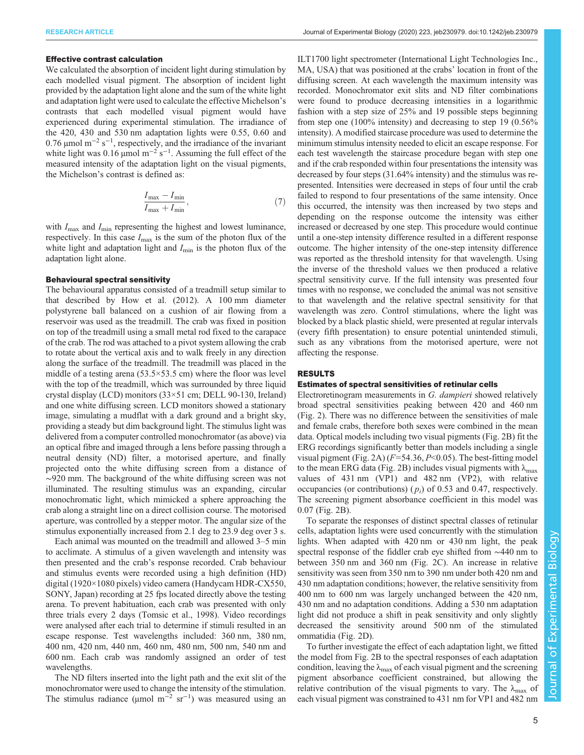#### Effective contrast calculation

We calculated the absorption of incident light during stimulation by each modelled visual pigment. The absorption of incident light provided by the adaptation light alone and the sum of the white light and adaptation light were used to calculate the effective Michelson's contrasts that each modelled visual pigment would have experienced during experimental stimulation. The irradiance of the 420, 430 and 530 nm adaptation lights were 0.55, 0.60 and 0.76  $\mu$ mol m<sup>-2</sup> s<sup>-1</sup>, respectively, and the irradiance of the invariant white light was 0.16 µmol  $m^{-2}$  s<sup>-1</sup>. Assuming the full effect of the measured intensity of the adaptation light on the visual pigments, the Michelson's contrast is defined as:

$$
\frac{I_{\text{max}} - I_{\text{min}}}{I_{\text{max}} + I_{\text{min}}},\tag{7}
$$

with  $I_{\text{max}}$  and  $I_{\text{min}}$  representing the highest and lowest luminance, respectively. In this case  $I_{\text{max}}$  is the sum of the photon flux of the white light and adaptation light and  $I_{\text{min}}$  is the photon flux of the adaptation light alone.

## Behavioural spectral sensitivity

The behavioural apparatus consisted of a treadmill setup similar to that described by [How et al. \(2012\).](#page-10-0) A 100 mm diameter polystyrene ball balanced on a cushion of air flowing from a reservoir was used as the treadmill. The crab was fixed in position on top of the treadmill using a small metal rod fixed to the carapace of the crab. The rod was attached to a pivot system allowing the crab to rotate about the vertical axis and to walk freely in any direction along the surface of the treadmill. The treadmill was placed in the middle of a testing arena  $(53.5 \times 53.5 \text{ cm})$  where the floor was level with the top of the treadmill, which was surrounded by three liquid crystal display (LCD) monitors (33×51 cm; DELL 90-130, Ireland) and one white diffusing screen. LCD monitors showed a stationary image, simulating a mudflat with a dark ground and a bright sky, providing a steady but dim background light. The stimulus light was delivered from a computer controlled monochromator (as above) via an optical fibre and imaged through a lens before passing through a neutral density (ND) filter, a motorised aperture, and finally projected onto the white diffusing screen from a distance of ∼920 mm. The background of the white diffusing screen was not illuminated. The resulting stimulus was an expanding, circular monochromatic light, which mimicked a sphere approaching the crab along a straight line on a direct collision course. The motorised aperture, was controlled by a stepper motor. The angular size of the stimulus exponentially increased from 2.1 deg to 23.9 deg over 3 s.

Each animal was mounted on the treadmill and allowed 3–5 min to acclimate. A stimulus of a given wavelength and intensity was then presented and the crab's response recorded. Crab behaviour and stimulus events were recorded using a high definition (HD) digital (1920×1080 pixels) video camera (Handycam HDR-CX550, SONY, Japan) recording at 25 fps located directly above the testing arena. To prevent habituation, each crab was presented with only three trials every 2 days ([Tomsic et al., 1998\)](#page-11-0). Video recordings were analysed after each trial to determine if stimuli resulted in an escape response. Test wavelengths included: 360 nm, 380 nm, 400 nm, 420 nm, 440 nm, 460 nm, 480 nm, 500 nm, 540 nm and 600 nm. Each crab was randomly assigned an order of test wavelengths.

The ND filters inserted into the light path and the exit slit of the monochromator were used to change the intensity of the stimulation. The stimulus radiance ( $\mu$ mol m<sup>-2</sup> sr<sup>-1</sup>) was measured using an

ILT1700 light spectrometer (International Light Technologies Inc., MA, USA) that was positioned at the crabs' location in front of the diffusing screen. At each wavelength the maximum intensity was recorded. Monochromator exit slits and ND filter combinations were found to produce decreasing intensities in a logarithmic fashion with a step size of 25% and 19 possible steps beginning from step one (100% intensity) and decreasing to step 19 (0.56% intensity). A modified staircase procedure was used to determine the minimum stimulus intensity needed to elicit an escape response. For each test wavelength the staircase procedure began with step one and if the crab responded within four presentations the intensity was decreased by four steps (31.64% intensity) and the stimulus was represented. Intensities were decreased in steps of four until the crab failed to respond to four presentations of the same intensity. Once this occurred, the intensity was then increased by two steps and depending on the response outcome the intensity was either increased or decreased by one step. This procedure would continue until a one-step intensity difference resulted in a different response outcome. The higher intensity of the one-step intensity difference was reported as the threshold intensity for that wavelength. Using the inverse of the threshold values we then produced a relative spectral sensitivity curve. If the full intensity was presented four times with no response, we concluded the animal was not sensitive to that wavelength and the relative spectral sensitivity for that wavelength was zero. Control stimulations, where the light was blocked by a black plastic shield, were presented at regular intervals (every fifth presentation) to ensure potential unintended stimuli, such as any vibrations from the motorised aperture, were not affecting the response.

## RESULTS

## Estimates of spectral sensitivities of retinular cells

Electroretinogram measurements in G. dampieri showed relatively broad spectral sensitivities peaking between 420 and 460 nm [\(Fig. 2\)](#page-5-0). There was no difference between the sensitivities of male and female crabs, therefore both sexes were combined in the mean data. Optical models including two visual pigments ([Fig. 2B](#page-5-0)) fit the ERG recordings significantly better than models including a single visual pigment [\(Fig. 2A](#page-5-0))  $(F=54.36, P<0.05)$ . The best-fitting model to the mean ERG data ([Fig. 2B](#page-5-0)) includes visual pigments with  $\lambda_{\text{max}}$ values of 431 nm (VP1) and 482 nm (VP2), with relative occupancies (or contributions) ( $p_i$ ) of 0.53 and 0.47, respectively. The screening pigment absorbance coefficient in this model was 0.07 [\(Fig. 2B](#page-5-0)).

To separate the responses of distinct spectral classes of retinular cells, adaptation lights were used concurrently with the stimulation lights. When adapted with 420 nm or 430 nm light, the peak spectral response of the fiddler crab eye shifted from ∼440 nm to between 350 nm and 360 nm [\(Fig. 2](#page-5-0)C). An increase in relative sensitivity was seen from 350 nm to 390 nm under both 420 nm and 430 nm adaptation conditions; however, the relative sensitivity from 400 nm to 600 nm was largely unchanged between the 420 nm, 430 nm and no adaptation conditions. Adding a 530 nm adaptation light did not produce a shift in peak sensitivity and only slightly decreased the sensitivity around 500 nm of the stimulated ommatidia ([Fig. 2](#page-5-0)D).

To further investigate the effect of each adaptation light, we fitted the model from [Fig. 2B](#page-5-0) to the spectral responses of each adaptation condition, leaving the  $\lambda_{\text{max}}$  of each visual pigment and the screening pigment absorbance coefficient constrained, but allowing the relative contribution of the visual pigments to vary. The  $\lambda_{\text{max}}$  of each visual pigment was constrained to 431 nm for VP1 and 482 nm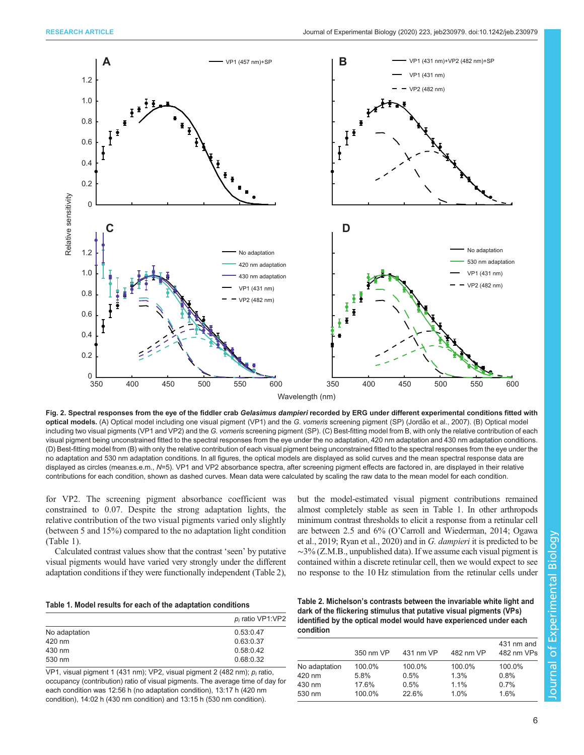<span id="page-5-0"></span>

Fig. 2. Spectral responses from the eye of the fiddler crab Gelasimus dampieri recorded by ERG under different experimental conditions fitted with **optical models.** (A) Optical model including one visual pigment (VP1) and the *G. vomeris* screening pigment (SP) (Jordã[o et al., 2007\)](#page-10-0). (B) Optical model including two visual pigments (VP1 and VP2) and the G. vomeris screening pigment (SP). (C) Best-fitting model from B, with only the relative contribution of each visual pigment being unconstrained fitted to the spectral responses from the eye under the no adaptation, 420 nm adaptation and 430 nm adaptation conditions. (D) Best-fitting model from (B) with only the relative contribution of each visual pigment being unconstrained fitted to the spectral responses from the eye under the no adaptation and 530 nm adaptation conditions. In all figures, the optical models are displayed as solid curves and the mean spectral response data are displayed as circles (mean±s.e.m., N=5). VP1 and VP2 absorbance spectra, after screening pigment effects are factored in, are displayed in their relative contributions for each condition, shown as dashed curves. Mean data were calculated by scaling the raw data to the mean model for each condition.

for VP2. The screening pigment absorbance coefficient was constrained to 0.07. Despite the strong adaptation lights, the relative contribution of the two visual pigments varied only slightly (between 5 and 15%) compared to the no adaptation light condition (Table 1).

Calculated contrast values show that the contrast 'seen' by putative visual pigments would have varied very strongly under the different adaptation conditions if they were functionally independent (Table 2),

but the model-estimated visual pigment contributions remained almost completely stable as seen in Table 1. In other arthropods minimum contrast thresholds to elicit a response from a retinular cell are between 2.5 and 6% (O'[Carroll and Wiederman, 2014](#page-10-0); [Ogawa](#page-10-0) [et al., 2019](#page-10-0); [Ryan et al., 2020\)](#page-11-0) and in G. dampieri it is predicted to be ∼3% (Z.M.B., unpublished data). If we assume each visual pigment is contained within a discrete retinular cell, then we would expect to see no response to the 10 Hz stimulation from the retinular cells under

| <b>TUDIO 11 MOUVE TOOURO TOT CUOIT OF GIO QUADRATOIT OOTIGIGOITO</b> |                     |  |
|----------------------------------------------------------------------|---------------------|--|
|                                                                      | $p_i$ ratio VP1:VP2 |  |
| No adaptation                                                        | 0.53:0.47           |  |
| 420 nm                                                               | 0.63:0.37           |  |
| 430 nm                                                               | 0.58:0.42           |  |
| 530 nm                                                               | 0.68:0.32           |  |

VP1, visual pigment 1 (431 nm); VP2, visual pigment 2 (482 nm);  $p_i$  ratio, occupancy (contribution) ratio of visual pigments. The average time of day for each condition was 12:56 h (no adaptation condition), 13:17 h (420 nm condition), 14:02 h (430 nm condition) and 13:15 h (530 nm condition).

| Table 2. Michelson's contrasts between the invariable white light and |  |
|-----------------------------------------------------------------------|--|
| dark of the flickering stimulus that putative visual pigments (VPs).  |  |
| identified by the optical model would have experienced under each     |  |
| condition                                                             |  |

|               | 350 nm VP | 431 nm VP | 482 nm VP | 431 nm and<br>482 nm VPs |
|---------------|-----------|-----------|-----------|--------------------------|
| No adaptation | 100.0%    | 100.0%    | 100.0%    | 100.0%                   |
| 420 nm        | 5.8%      | 0.5%      | 1.3%      | 0.8%                     |
| 430 nm        | 17.6%     | 0.5%      | 1.1%      | 0.7%                     |
| 530 nm        | 100.0%    | 22.6%     | 1.0%      | 1.6%                     |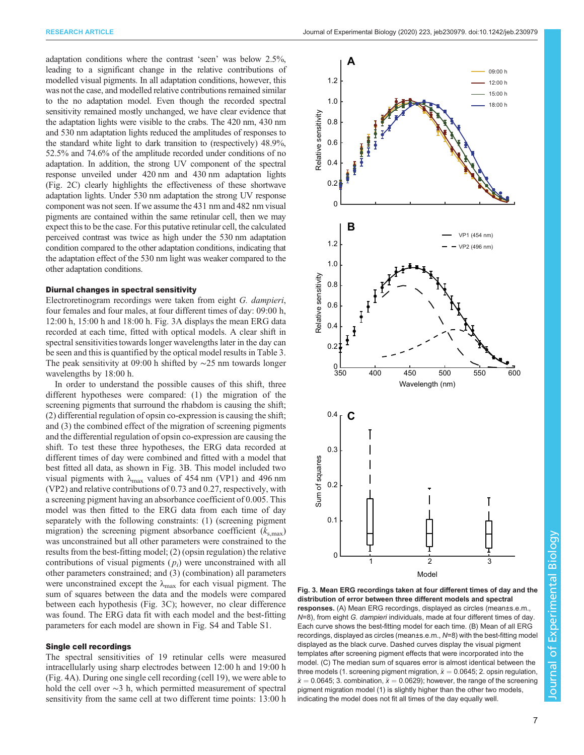<span id="page-6-0"></span>adaptation conditions where the contrast 'seen' was below 2.5%, leading to a significant change in the relative contributions of modelled visual pigments. In all adaptation conditions, however, this was not the case, and modelled relative contributions remained similar to the no adaptation model. Even though the recorded spectral sensitivity remained mostly unchanged, we have clear evidence that the adaptation lights were visible to the crabs. The 420 nm, 430 nm and 530 nm adaptation lights reduced the amplitudes of responses to the standard white light to dark transition to (respectively) 48.9%, 52.5% and 74.6% of the amplitude recorded under conditions of no adaptation. In addition, the strong UV component of the spectral response unveiled under 420 nm and 430 nm adaptation lights [\(Fig. 2C](#page-5-0)) clearly highlights the effectiveness of these shortwave adaptation lights. Under 530 nm adaptation the strong UV response component was not seen. If we assume the 431 nm and 482 nm visual pigments are contained within the same retinular cell, then we may expect this to be the case. For this putative retinular cell, the calculated perceived contrast was twice as high under the 530 nm adaptation condition compared to the other adaptation conditions, indicating that the adaptation effect of the 530 nm light was weaker compared to the other adaptation conditions.

## Diurnal changes in spectral sensitivity

Electroretinogram recordings were taken from eight G. dampieri, four females and four males, at four different times of day: 09:00 h, 12:00 h, 15:00 h and 18:00 h. Fig. 3A displays the mean ERG data recorded at each time, fitted with optical models. A clear shift in spectral sensitivities towards longer wavelengths later in the day can be seen and this is quantified by the optical model results in [Table 3.](#page-7-0) The peak sensitivity at 09:00 h shifted by ∼25 nm towards longer wavelengths by 18:00 h.

In order to understand the possible causes of this shift, three different hypotheses were compared: (1) the migration of the screening pigments that surround the rhabdom is causing the shift; (2) differential regulation of opsin co-expression is causing the shift; and (3) the combined effect of the migration of screening pigments and the differential regulation of opsin co-expression are causing the shift. To test these three hypotheses, the ERG data recorded at different times of day were combined and fitted with a model that best fitted all data, as shown in Fig. 3B. This model included two visual pigments with  $\lambda_{\text{max}}$  values of 454 nm (VP1) and 496 nm (VP2) and relative contributions of 0.73 and 0.27, respectively, with a screening pigment having an absorbance coefficient of 0.005. This model was then fitted to the ERG data from each time of day separately with the following constraints: (1) (screening pigment migration) the screening pigment absorbance coefficient  $(k_{s,\text{max}})$ was unconstrained but all other parameters were constrained to the results from the best-fitting model; (2) (opsin regulation) the relative contributions of visual pigments  $(p_i)$  were unconstrained with all other parameters constrained; and (3) (combination) all parameters were unconstrained except the  $\lambda_{\text{max}}$  for each visual pigment. The sum of squares between the data and the models were compared between each hypothesis (Fig. 3C); however, no clear difference was found. The ERG data fit with each model and the best-fitting parameters for each model are shown in [Fig. S4](https://jeb.biologists.org/lookup/doi/10.1242/jeb.230979.supplemental) and [Table S1.](https://jeb.biologists.org/lookup/doi/10.1242/jeb.230979.supplemental)

## Single cell recordings

The spectral sensitivities of 19 retinular cells were measured intracellularly using sharp electrodes between 12:00 h and 19:00 h [\(Fig. 4A](#page-8-0)). During one single cell recording (cell 19), we were able to hold the cell over ∼3 h, which permitted measurement of spectral sensitivity from the same cell at two different time points: 13:00 h



Fig. 3. Mean ERG recordings taken at four different times of day and the distribution of error between three different models and spectral responses. (A) Mean ERG recordings, displayed as circles (mean±s.e.m.,  $N=8$ ), from eight G. dampieri individuals, made at four different times of day. Each curve shows the best-fitting model for each time. (B) Mean of all ERG recordings, displayed as circles (mean±s.e.m., N=8) with the best-fitting model displayed as the black curve. Dashed curves display the visual pigment templates after screening pigment effects that were incorporated into the model. (C) The median sum of squares error is almost identical between the three models (1. screening pigment migration,  $\tilde{x} = 0.0645; 2$ . opsin regulation,  $\tilde{x} = 0.0645$ ; 3. combination,  $\tilde{x} = 0.0629$ ); however, the range of the screening pigment migration model (1) is slightly higher than the other two models, indicating the model does not fit all times of the day equally well.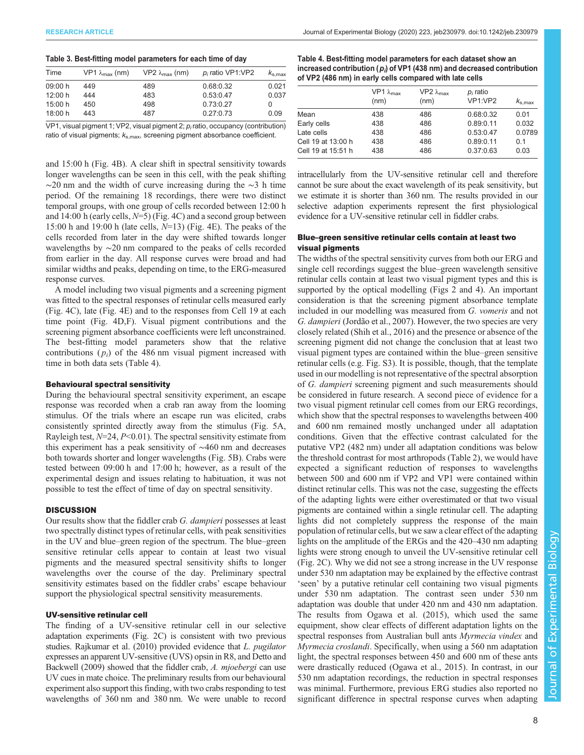## <span id="page-7-0"></span>Table 3. Best-fitting model parameters for each time of day

| Time    | $VP1 \lambda_{\text{max}}$ (nm) | $VP2 \lambda_{\text{max}}$ (nm) | $p_i$ ratio VP1:VP2 | $k_{\rm s,max}$ |
|---------|---------------------------------|---------------------------------|---------------------|-----------------|
| 09:00 h | 449                             | 489                             | 0.68:0.32           | 0.021           |
| 12:00 h | 444                             | 483                             | 0.53:0.47           | 0.037           |
| 15:00 h | 450                             | 498                             | 0.73:0.27           | $\Omega$        |
| 18:00 h | 443                             | 487                             | 0.27:0.73           | 0.09            |
|         |                                 |                                 |                     |                 |

 $VPI$ , visual pigment 1; VP2, visual pigment 2;  $p_i$  ratio, occupancy (contribution) ratio of visual pigments;  $k_{s, max}$ , screening pigment absorbance coefficient.

and 15:00 h [\(Fig. 4B](#page-8-0)). A clear shift in spectral sensitivity towards longer wavelengths can be seen in this cell, with the peak shifting  $\sim$ 20 nm and the width of curve increasing during the  $\sim$ 3 h time period. Of the remaining 18 recordings, there were two distinct temporal groups, with one group of cells recorded between 12:00 h and 14:00 h (early cells,  $N=5$ ) [\(Fig. 4C](#page-8-0)) and a second group between 15:00 h and 19:00 h (late cells,  $N=13$ ) [\(Fig. 4E](#page-8-0)). The peaks of the cells recorded from later in the day were shifted towards longer wavelengths by ∼20 nm compared to the peaks of cells recorded from earlier in the day. All response curves were broad and had similar widths and peaks, depending on time, to the ERG-measured response curves.

A model including two visual pigments and a screening pigment was fitted to the spectral responses of retinular cells measured early [\(Fig. 4C](#page-8-0)), late [\(Fig. 4](#page-8-0)E) and to the responses from Cell 19 at each time point [\(Fig. 4](#page-8-0)D,F). Visual pigment contributions and the screening pigment absorbance coefficients were left unconstrained. The best-fitting model parameters show that the relative contributions  $(p_i)$  of the 486 nm visual pigment increased with time in both data sets (Table 4).

## Behavioural spectral sensitivity

During the behavioural spectral sensitivity experiment, an escape response was recorded when a crab ran away from the looming stimulus. Of the trials where an escape run was elicited, crabs consistently sprinted directly away from the stimulus ([Fig. 5A](#page-9-0), Rayleigh test,  $N=24$ ,  $P<0.01$ ). The spectral sensitivity estimate from this experiment has a peak sensitivity of ∼460 nm and decreases both towards shorter and longer wavelengths ([Fig. 5B](#page-9-0)). Crabs were tested between 09:00 h and 17:00 h; however, as a result of the experimental design and issues relating to habituation, it was not possible to test the effect of time of day on spectral sensitivity.

#### **DISCUSSION**

Our results show that the fiddler crab G. dampieri possesses at least two spectrally distinct types of retinular cells, with peak sensitivities in the UV and blue–green region of the spectrum. The blue–green sensitive retinular cells appear to contain at least two visual pigments and the measured spectral sensitivity shifts to longer wavelengths over the course of the day. Preliminary spectral sensitivity estimates based on the fiddler crabs' escape behaviour support the physiological spectral sensitivity measurements.

# UV-sensitive retinular cell

The finding of a UV-sensitive retinular cell in our selective adaptation experiments ([Fig. 2](#page-5-0)C) is consistent with two previous studies. [Rajkumar et al. \(2010\)](#page-10-0) provided evidence that L. pugilator expresses an apparent UV-sensitive (UVS) opsin in R8, and [Detto and](#page-10-0) [Backwell \(2009\)](#page-10-0) showed that the fiddler crab, A. mjoebergi can use UV cues in mate choice. The preliminary results from our behavioural experiment also support this finding, with two crabs responding to test wavelengths of 360 nm and 380 nm. We were unable to record

Table 4. Best-fitting model parameters for each dataset show an increased contribution ( $p_i$ ) of VP1 (438 nm) and decreased contribution of VP2 (486 nm) in early cells compared with late cells

|                    | VP1 $\lambda_{\text{max}}$<br>(nm) | VP2 $λ_{max}$<br>(nm) | $p_i$ ratio<br>VP1:VP2 | $k_{\rm s.max}$ |
|--------------------|------------------------------------|-----------------------|------------------------|-----------------|
| Mean               | 438                                | 486                   | 0.68:0.32              | 0.01            |
| Early cells        | 438                                | 486                   | 0.89:0.11              | 0.032           |
| Late cells         | 438                                | 486                   | 0.53:0.47              | 0.0789          |
| Cell 19 at 13:00 h | 438                                | 486                   | 0.89:0.11              | 0.1             |
| Cell 19 at 15:51 h | 438                                | 486                   | 0.37:0.63              | 0.03            |

intracellularly from the UV-sensitive retinular cell and therefore cannot be sure about the exact wavelength of its peak sensitivity, but we estimate it is shorter than 360 nm. The results provided in our selective adaption experiments represent the first physiological evidence for a UV-sensitive retinular cell in fiddler crabs.

# Blue–green sensitive retinular cells contain at least two visual pigments

The widths of the spectral sensitivity curves from both our ERG and single cell recordings suggest the blue–green wavelength sensitive retinular cells contain at least two visual pigment types and this is supported by the optical modelling [\(Figs 2](#page-5-0) and [4\)](#page-8-0). An important consideration is that the screening pigment absorbance template included in our modelling was measured from G. vomeris and not G. dampieri ([Jordão et al., 2007\)](#page-10-0). However, the two species are very closely related ([Shih et al., 2016\)](#page-11-0) and the presence or absence of the screening pigment did not change the conclusion that at least two visual pigment types are contained within the blue–green sensitive retinular cells (e.g. [Fig. S3](https://jeb.biologists.org/lookup/doi/10.1242/jeb.230979.supplemental)). It is possible, though, that the template used in our modelling is not representative of the spectral absorption of G. dampieri screening pigment and such measurements should be considered in future research. A second piece of evidence for a two visual pigment retinular cell comes from our ERG recordings, which show that the spectral responses to wavelengths between 400 and 600 nm remained mostly unchanged under all adaptation conditions. Given that the effective contrast calculated for the putative VP2 (482 nm) under all adaptation conditions was below the threshold contrast for most arthropods [\(Table 2\)](#page-5-0), we would have expected a significant reduction of responses to wavelengths between 500 and 600 nm if VP2 and VP1 were contained within distinct retinular cells. This was not the case, suggesting the effects of the adapting lights were either overestimated or that two visual pigments are contained within a single retinular cell. The adapting lights did not completely suppress the response of the main population of retinular cells, but we saw a clear effect of the adapting lights on the amplitude of the ERGs and the 420–430 nm adapting lights were strong enough to unveil the UV-sensitive retinular cell [\(Fig. 2](#page-5-0)C). Why we did not see a strong increase in the UV response under 530 nm adaptation may be explained by the effective contrast 'seen' by a putative retinular cell containing two visual pigments under 530 nm adaptation. The contrast seen under 530 nm adaptation was double that under 420 nm and 430 nm adaptation. The results from [Ogawa et al. \(2015\),](#page-10-0) which used the same equipment, show clear effects of different adaptation lights on the spectral responses from Australian bull ants Myrmecia vindex and Myrmecia croslandi. Specifically, when using a 560 nm adaptation light, the spectral responses between 450 and 600 nm of these ants were drastically reduced [\(Ogawa et al., 2015](#page-10-0)). In contrast, in our 530 nm adaptation recordings, the reduction in spectral responses was minimal. Furthermore, previous ERG studies also reported no significant difference in spectral response curves when adapting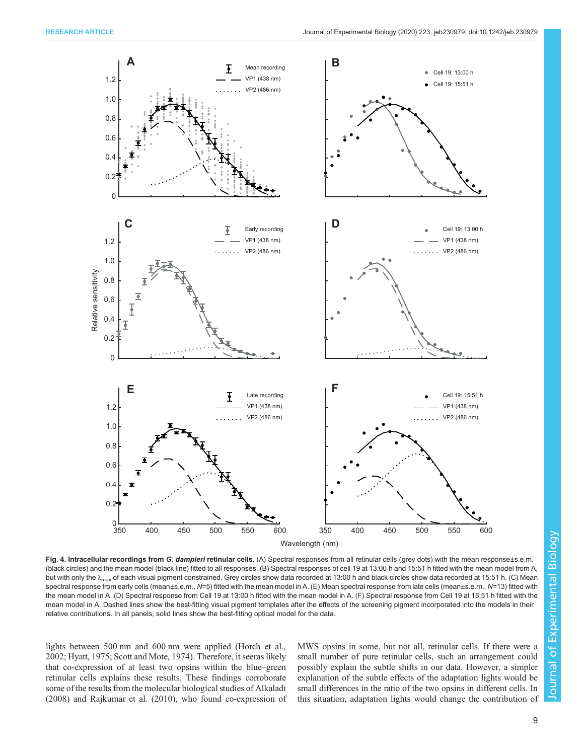<span id="page-8-0"></span>

Fig. 4. Intracellular recordings from G. dampieri retinular cells. (A) Spectral responses from all retinular cells (grey dots) with the mean response±s.e.m. (black circles) and the mean model (black line) fitted to all responses. (B) Spectral responses of cell 19 at 13:00 h and 15:51 h fitted with the mean model from A, but with only the  $\lambda_{\text{max}}$  of each visual pigment constrained. Grey circles show data recorded at 13:00 h and black circles show data recorded at 15:51 h. (C) Mean spectral response from early cells (mean±s.e.m., N=5) fitted with the mean model in A. (E) Mean spectral response from late cells (mean±s.e.m., N=13) fitted with the mean model in A. (D) Spectral response from Cell 19 at 13:00 h fitted with the mean model in A. (F) Spectral response from Cell 19 at 15:51 h fitted with the mean model in A. Dashed lines show the best-fitting visual pigment templates after the effects of the screening pigment incorporated into the models in their relative contributions. In all panels, solid lines show the best-fitting optical model for the data.

lights between 500 nm and 600 nm were applied ([Horch et al.,](#page-10-0) [2002](#page-10-0); [Hyatt, 1975](#page-10-0); [Scott and Mote, 1974](#page-11-0)). Therefore, it seems likely that co-expression of at least two opsins within the blue–green retinular cells explains these results. These findings corroborate some of the results from the molecular biological studies of [Alkaladi](#page-10-0) [\(2008\)](#page-10-0) and [Rajkumar et al. \(2010\),](#page-10-0) who found co-expression of MWS opsins in some, but not all, retinular cells. If there were a small number of pure retinular cells, such an arrangement could possibly explain the subtle shifts in our data. However, a simpler explanation of the subtle effects of the adaptation lights would be small differences in the ratio of the two opsins in different cells. In this situation, adaptation lights would change the contribution of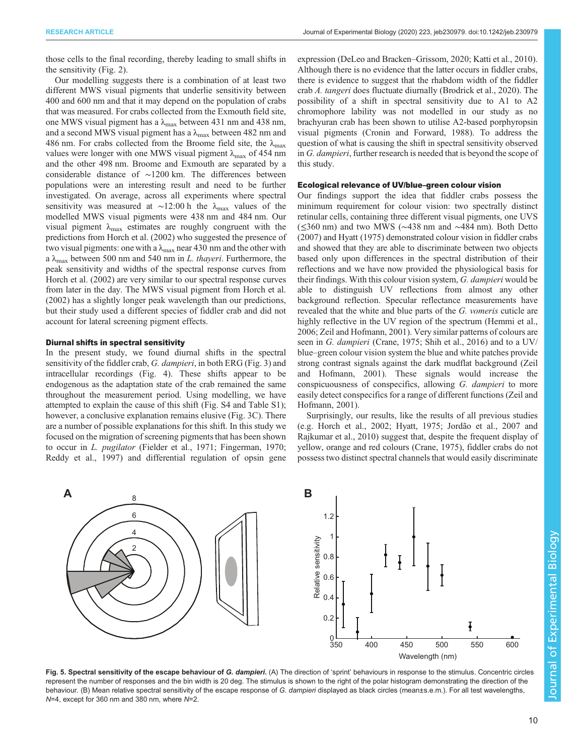<span id="page-9-0"></span>those cells to the final recording, thereby leading to small shifts in the sensitivity ([Fig. 2\)](#page-5-0).

Our modelling suggests there is a combination of at least two different MWS visual pigments that underlie sensitivity between 400 and 600 nm and that it may depend on the population of crabs that was measured. For crabs collected from the Exmouth field site, one MWS visual pigment has a  $\lambda_{\text{max}}$  between 431 nm and 438 nm, and a second MWS visual pigment has a  $\lambda_{\text{max}}$  between 482 nm and 486 nm. For crabs collected from the Broome field site, the  $\lambda_{\text{max}}$ values were longer with one MWS visual pigment  $\lambda_{\text{max}}$  of 454 nm and the other 498 nm. Broome and Exmouth are separated by a considerable distance of ∼1200 km. The differences between populations were an interesting result and need to be further investigated. On average, across all experiments where spectral sensitivity was measured at ~12:00 h the  $\lambda_{\text{max}}$  values of the modelled MWS visual pigments were 438 nm and 484 nm. Our visual pigment  $\lambda_{\text{max}}$  estimates are roughly congruent with the predictions from [Horch et al. \(2002\)](#page-10-0) who suggested the presence of two visual pigments: one with a  $\lambda_{\text{max}}$  near 430 nm and the other with a  $\lambda_{\text{max}}$  between 500 nm and 540 nm in L. thayeri. Furthermore, the peak sensitivity and widths of the spectral response curves from [Horch et al. \(2002\)](#page-10-0) are very similar to our spectral response curves from later in the day. The MWS visual pigment from [Horch et al.](#page-10-0) [\(2002\)](#page-10-0) has a slightly longer peak wavelength than our predictions, but their study used a different species of fiddler crab and did not account for lateral screening pigment effects.

### Diurnal shifts in spectral sensitivity

In the present study, we found diurnal shifts in the spectral sensitivity of the fiddler crab, G. dampieri, in both ERG ([Fig. 3](#page-6-0)) and intracellular recordings [\(Fig. 4\)](#page-8-0). These shifts appear to be endogenous as the adaptation state of the crab remained the same throughout the measurement period. Using modelling, we have attempted to explain the cause of this shift [\(Fig. S4](https://jeb.biologists.org/lookup/doi/10.1242/jeb.230979.supplemental) and [Table S1](https://jeb.biologists.org/lookup/doi/10.1242/jeb.230979.supplemental)); however, a conclusive explanation remains elusive [\(Fig. 3](#page-6-0)C). There are a number of possible explanations for this shift. In this study we focused on the migration of screening pigments that has been shown to occur in L. pugilator [\(Fielder et al., 1971; Fingerman, 1970](#page-10-0); [Reddy et al., 1997\)](#page-11-0) and differential regulation of opsin gene expression [\(DeLeo and Bracken](#page-10-0)–Grissom, 2020; [Katti et al., 2010\)](#page-10-0). Although there is no evidence that the latter occurs in fiddler crabs, there is evidence to suggest that the rhabdom width of the fiddler crab A. tangeri does fluctuate diurnally [\(Brodrick et al., 2020\)](#page-10-0). The possibility of a shift in spectral sensitivity due to A1 to A2 chromophore lability was not modelled in our study as no brachyuran crab has been shown to utilise A2-based porphyropsin visual pigments [\(Cronin and Forward, 1988](#page-10-0)). To address the question of what is causing the shift in spectral sensitivity observed in G. dampieri, further research is needed that is beyond the scope of this study.

## Ecological relevance of UV/blue–green colour vision

Our findings support the idea that fiddler crabs possess the minimum requirement for colour vision: two spectrally distinct retinular cells, containing three different visual pigments, one UVS (≤360 nm) and two MWS (∼438 nm and ∼484 nm). Both [Detto](#page-10-0) [\(2007\)](#page-10-0) and [Hyatt \(1975\)](#page-10-0) demonstrated colour vision in fiddler crabs and showed that they are able to discriminate between two objects based only upon differences in the spectral distribution of their reflections and we have now provided the physiological basis for their findings. With this colour vision system, G. dampieri would be able to distinguish UV reflections from almost any other background reflection. Specular reflectance measurements have revealed that the white and blue parts of the G. vomeris cuticle are highly reflective in the UV region of the spectrum [\(Hemmi et al.,](#page-10-0) [2006;](#page-10-0) [Zeil and Hofmann, 2001\)](#page-11-0). Very similar patterns of colours are seen in G. *dampieri* ([Crane, 1975](#page-10-0); [Shih et al., 2016\)](#page-11-0) and to a UV/ blue–green colour vision system the blue and white patches provide strong contrast signals against the dark mudflat background ([Zeil](#page-11-0) [and Hofmann, 2001](#page-11-0)). These signals would increase the conspicuousness of conspecifics, allowing G. dampieri to more easily detect conspecifics for a range of different functions [\(Zeil and](#page-11-0) [Hofmann, 2001\)](#page-11-0).

Surprisingly, our results, like the results of all previous studies (e.g. [Horch et al., 2002](#page-10-0); [Hyatt, 1975; Jordão et al., 2007](#page-10-0) and [Rajkumar et al., 2010\)](#page-10-0) suggest that, despite the frequent display of yellow, orange and red colours [\(Crane, 1975](#page-10-0)), fiddler crabs do not possess two distinct spectral channels that would easily discriminate



Fig. 5. Spectral sensitivity of the escape behaviour of G. dampieri. (A) The direction of 'sprint' behaviours in response to the stimulus. Concentric circles represent the number of responses and the bin width is 20 deg. The stimulus is shown to the right of the polar histogram demonstrating the direction of the behaviour. (B) Mean relative spectral sensitivity of the escape response of G. dampieri displayed as black circles (mean±s.e.m.). For all test wavelengths, N=4, except for 360 nm and 380 nm, where N=2.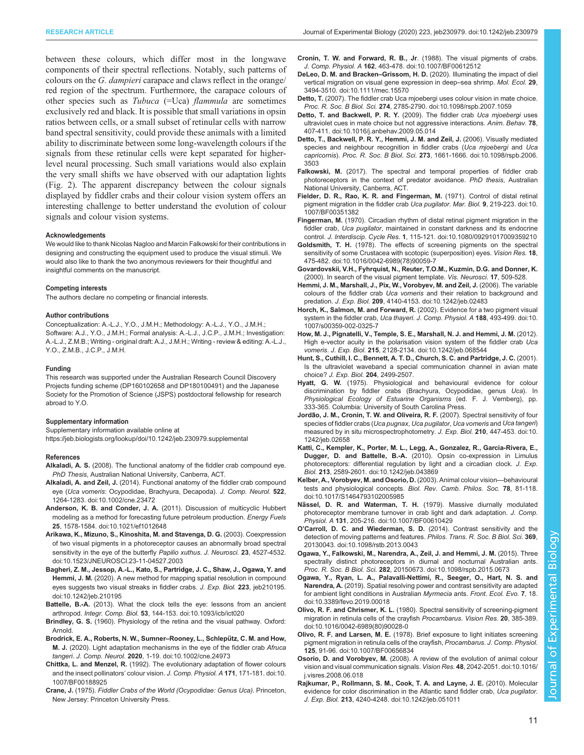<span id="page-10-0"></span>between these colours, which differ most in the longwave components of their spectral reflections. Notably, such patterns of colours on the G. dampieri carapace and claws reflect in the orange/ red region of the spectrum. Furthermore, the carapace colours of other species such as Tubuca (=Uca) flammula are sometimes exclusively red and black. It is possible that small variations in opsin ratios between cells, or a small subset of retinular cells with narrow band spectral sensitivity, could provide these animals with a limited ability to discriminate between some long-wavelength colours if the signals from these retinular cells were kept separated for higherlevel neural processing. Such small variations would also explain the very small shifts we have observed with our adaptation lights [\(Fig. 2\)](#page-5-0). The apparent discrepancy between the colour signals displayed by fiddler crabs and their colour vision system offers an interesting challenge to better understand the evolution of colour signals and colour vision systems.

#### Acknowledgements

We would like to thank Nicolas Nagloo and Marcin Falkowski for their contributions in designing and constructing the equipment used to produce the visual stimuli. We would also like to thank the two anonymous reviewers for their thoughtful and insightful comments on the manuscript.

#### Competing interests

The authors declare no competing or financial interests.

#### Author contributions

Conceptualization: A.-L.J., Y.O., J.M.H.; Methodology: A.-L.J., Y.O., J.M.H.; Software: A.J., Y.O., J.M.H.; Formal analysis: A.-L.J., J.C.P., J.M.H.; Investigation: A.-L.J., Z.M.B.; Writing - original draft: A.J., J.M.H.; Writing - review & editing: A.-L.J., Y.O., Z.M.B., J.C.P., J.M.H.

#### Funding

This research was supported under the Australian Research Council Discovery Projects funding scheme (DP160102658 and DP180100491) and the Japanese Society for the Promotion of Science (JSPS) postdoctoral fellowship for research abroad to Y.O.

#### Supplementary information

Supplementary information available online at <https://jeb.biologists.org/lookup/doi/10.1242/jeb.230979.supplemental>

#### References

- Alkaladi, A. S. (2008). The functional anatomy of the fiddler crab compound eye. PhD Thesis, Australian National University, Canberra, ACT.
- Alkaladi, A. and Zeil, J. [\(2014\). Functional anatomy of the fiddler crab compound](https://doi.org/10.1002/cne.23472) eye (Uca vomeris[: Ocypodidae, Brachyura, Decapoda\).](https://doi.org/10.1002/cne.23472) J. Comp. Neurol. 522, [1264-1283. doi:10.1002/cne.23472](https://doi.org/10.1002/cne.23472)
- Anderson, K. B. and Conder, J. A. [\(2011\). Discussion of multicyclic Hubbert](https://doi.org/10.1021/ef1012648) [modeling as a method for forecasting future petroleum production.](https://doi.org/10.1021/ef1012648) Energy Fuels 25[, 1578-1584. doi:10.1021/ef1012648](https://doi.org/10.1021/ef1012648)
- [Arikawa, K., Mizuno, S., Kinoshita, M. and Stavenga, D. G.](https://doi.org/10.1523/JNEUROSCI.23-11-04527.2003) (2003). Coexpression [of two visual pigments in a photoreceptor causes an abnormally broad spectral](https://doi.org/10.1523/JNEUROSCI.23-11-04527.2003) [sensitivity in the eye of the butterfly](https://doi.org/10.1523/JNEUROSCI.23-11-04527.2003) Papilio xuthus. J. Neurosci. 23, 4527-4532. [doi:10.1523/JNEUROSCI.23-11-04527.2003](https://doi.org/10.1523/JNEUROSCI.23-11-04527.2003)
- [Bagheri, Z. M., Jessop, A.-L., Kato, S., Partridge, J. C., Shaw, J., Ogawa, Y. and](https://doi.org/10.1242/jeb.210195) Hemmi, J. M. [\(2020\). A new method for mapping spatial resolution in compound](https://doi.org/10.1242/jeb.210195) [eyes suggests two visual streaks in fiddler crabs.](https://doi.org/10.1242/jeb.210195) J. Exp. Biol. 223, jeb210195. [doi:10.1242/jeb.210195](https://doi.org/10.1242/jeb.210195)
- Battelle, B.-A. [\(2013\). What the clock tells the eye: lessons from an ancient](https://doi.org/10.1093/icb/ict020) arthropod. Integr. Comp. Biol. 53[, 144-153. doi:10.1093/icb/ict020](https://doi.org/10.1093/icb/ict020)
- Brindley, G. S. (1960). Physiology of the retina and the visual pathway. Oxford: Arnold.
- [Brodrick, E. A., Roberts, N. W., Sumner](https://doi.org/10.1002/cne.24973)-Rooney, L., Schlepütz, C. M. and How, M. J. [\(2020\). Light adaptation mechanisms in the eye of the fiddler crab](https://doi.org/10.1002/cne.24973) Afruca tangeri. J. Comp. Neurol. 2020[, 1-19. doi:10.1002/cne.24973](https://doi.org/10.1002/cne.24973)
- Chittka, L. and Menzel, R. [\(1992\). The evolutionary adaptation of flower colours](https://doi.org/10.1007/BF00188925) [and the insect pollinators](https://doi.org/10.1007/BF00188925)' colour vision. J. Comp. Physiol. A 171, 171-181. doi:10. [1007/BF00188925](https://doi.org/10.1007/BF00188925)
- Crane, J. (1975). Fiddler Crabs of the World (Ocypodidae: Genus Uca). Princeton, New Jersey: Princeton University Press.
- Cronin, T. W. and Forward, R. B., Jr[. \(1988\). The visual pigments of crabs.](https://doi.org/10.1007/BF00612512) J. Comp. Physiol. A 162[, 463-478. doi:10.1007/BF00612512](https://doi.org/10.1007/BF00612512)
- DeLeo, D. M. and Bracken–Grissom, H. D. [\(2020\). Illuminating the impact of diel](https://doi.org/10.1111/mec.15570) [vertical migration on visual gene expression in deep](https://doi.org/10.1111/mec.15570)–sea shrimp. Mol. Ecol. 29, [3494-3510. doi:10.1111/mec.15570](https://doi.org/10.1111/mec.15570)
- Detto, T. [\(2007\). The fiddler crab Uca mjoebergi uses colour vision in mate choice.](https://doi.org/10.1098/rspb.2007.1059) Proc. R. Soc. B Biol. Sci. 274[, 2785-2790. doi:10.1098/rspb.2007.1059](https://doi.org/10.1098/rspb.2007.1059)
- [Detto, T. and Backwell, P. R. Y.](https://doi.org/10.1016/j.anbehav.2009.05.014) (2009). The fiddler crab Uca mjoebergi uses [ultraviolet cues in mate choice but not aggressive interactions.](https://doi.org/10.1016/j.anbehav.2009.05.014) Anim. Behav. 78, [407-411. doi:10.1016/j.anbehav.2009.05.014](https://doi.org/10.1016/j.anbehav.2009.05.014)
- [Detto, T., Backwell, P. R. Y., Hemmi, J. M. and Zeil, J.](https://doi.org/10.1098/rspb.2006.3503) (2006). Visually mediated [species and neighbour recognition in fiddler crabs \(](https://doi.org/10.1098/rspb.2006.3503)Uca mjoebergi and Uca capricornis). Proc. R. Soc. B Biol. Sci. 273[, 1661-1666. doi:10.1098/rspb.2006.](https://doi.org/10.1098/rspb.2006.3503) [3503](https://doi.org/10.1098/rspb.2006.3503)
- Falkowski, M. (2017). The spectral and temporal properties of fiddler crab photoreceptors in the context of predator avoidance. PhD thesis, Australian National University, Canberra, ACT.
- [Fielder, D. R., Rao, K. R. and Fingerman, M.](https://doi.org/10.1007/BF00351382) (1971). Control of distal retinal [pigment migration in the fiddler crab](https://doi.org/10.1007/BF00351382) Uca pugilator. Mar. Biol. 9, 219-223. doi:10. [1007/BF00351382](https://doi.org/10.1007/BF00351382)
- Fingerman, M. [\(1970\). Circadian rhythm of distal retinal pigment migration in the](https://doi.org/10.1080/09291017009359210) fiddler crab, Uca pugilator[, maintained in constant darkness and its endocrine](https://doi.org/10.1080/09291017009359210) control. J. Interdiscip. Cycle Res. 1[, 115-121. doi:10.1080/09291017009359210](https://doi.org/10.1080/09291017009359210)
- Goldsmith, T. H. [\(1978\). The effects of screening pigments on the spectral](https://doi.org/10.1016/0042-6989(78)90059-7) [sensitivity of some Crustacea with scotopic \(superposition\) eyes.](https://doi.org/10.1016/0042-6989(78)90059-7) Vision Res. 18, [475-482. doi:10.1016/0042-6989\(78\)90059-7](https://doi.org/10.1016/0042-6989(78)90059-7)
- Govardovskii, V.H., Fyhrquist, N., Reuter, T.O.M., Kuzmin, D.G. and Donner, K. (2000). In search of the visual pigment template. Vis. Neurosci. 17, 509-528.
- [Hemmi, J. M., Marshall, J., Pix, W., Vorobyev, M. and Zeil, J.](https://doi.org/10.1242/jeb.02483) (2006). The variable colours of the fiddler crab Uca vomeris [and their relation to background and](https://doi.org/10.1242/jeb.02483) predation. J. Exp. Biol. 209[, 4140-4153. doi:10.1242/jeb.02483](https://doi.org/10.1242/jeb.02483)
- Horch, K., Salmon, M. and Forward, R. [\(2002\). Evidence for a two pigment visual](https://doi.org/10.1007/s00359-002-0325-7) [system in the fiddler crab,](https://doi.org/10.1007/s00359-002-0325-7) Uca thayeri. J. Comp. Physiol. A 188, 493-499. doi:10. [1007/s00359-002-0325-7](https://doi.org/10.1007/s00359-002-0325-7)
- [How, M. J., Pignatelli, V., Temple, S. E., Marshall, N. J. and Hemmi, J. M.](https://doi.org/10.1242/jeb.068544) (2012). [High e-vector acuity in the polarisation vision system of the fiddler crab](https://doi.org/10.1242/jeb.068544) Uca vomeris. J. Exp. Biol. 215[, 2128-2134. doi:10.1242/jeb.068544](https://doi.org/10.1242/jeb.068544)
- Hunt, S., Cuthill, I. C., Bennett, A. T. D., Church, S. C. and Partridge, J. C. (2001). Is the ultraviolet waveband a special communication channel in avian mate choice? J. Exp. Biol. 204, 2499-2507.
- Hyatt, G. W. (1975). Physiological and behavioural evidence for colour discrimination by fiddler crabs (Brachyura, Ocypodidae, genus Uca). In Physiological Ecology of Estuarine Organisms (ed. F. J. Vernberg), pp. 333-365. Columbia: University of South Carolina Press.
- **Jordão, J. M., Cronin, T. W. and Oliveira, R. F.** (2007). Spectral sensitivity of four [species of fiddler crabs \(](https://doi.org/10.1242/jeb.02658)Uca pugnax, Uca pugilator, Uca vomeris and Uca tangeri) [measured by in situ microspectrophotometry.](https://doi.org/10.1242/jeb.02658) J. Exp. Biol. 210, 447-453. doi:10. [1242/jeb.02658](https://doi.org/10.1242/jeb.02658)
- [Katti, C., Kempler, K., Porter, M. L., Legg, A., Gonzalez, R., Garcia-Rivera, E.,](https://doi.org/10.1242/jeb.043869) Dugger, D. and Battelle, B.-A. [\(2010\). Opsin co-expression in Limulus](https://doi.org/10.1242/jeb.043869) [photoreceptors: differential regulation by light and a circadian clock.](https://doi.org/10.1242/jeb.043869) J. Exp. Biol. 213[, 2589-2601. doi:10.1242/jeb.043869](https://doi.org/10.1242/jeb.043869)
- [Kelber, A., Vorobyev, M. and Osorio, D.](https://doi.org/10.1017/S1464793102005985) (2003). Animal colour vision—behavioural [tests and physiological concepts.](https://doi.org/10.1017/S1464793102005985) Biol. Rev. Camb. Philos. Soc. 78, 81-118. [doi:10.1017/S1464793102005985](https://doi.org/10.1017/S1464793102005985)
- Nässel, D. R. and Waterman, T. H. [\(1979\). Massive diurnally modulated](https://doi.org/10.1007/BF00610429) [photoreceptor membrane turnover in crab light and dark adaptation.](https://doi.org/10.1007/BF00610429) J. Comp. Physiol. A 131[, 205-216. doi:10.1007/BF00610429](https://doi.org/10.1007/BF00610429)
- O'[Carroll, D. C. and Wiederman, S. D.](https://doi.org/10.1098/rstb.2013.0043) (2014). Contrast sensitivity and the [detection of moving patterns and features.](https://doi.org/10.1098/rstb.2013.0043) Philos. Trans. R. Soc. B Biol. Sci. 369, [20130043. doi:10.1098/rstb.2013.0043](https://doi.org/10.1098/rstb.2013.0043)
- [Ogawa, Y., Falkowski, M., Narendra, A., Zeil, J. and Hemmi, J. M.](https://doi.org/10.1098/rspb.2015.0673) (2015). Three [spectrally distinct photoreceptors in diurnal and nocturnal Australian ants.](https://doi.org/10.1098/rspb.2015.0673) Proc. R. Soc. B Biol. Sci. 282[, 20150673. doi:10.1098/rspb.2015.0673](https://doi.org/10.1098/rspb.2015.0673)
- [Ogawa, Y., Ryan, L. A., Palavalli-Nettimi, R., Seeger, O., Hart, N. S. and](https://doi.org/10.3389/fevo.2019.00018) Narendra, A. [\(2019\). Spatial resolving power and contrast sensitivity are adapted](https://doi.org/10.3389/fevo.2019.00018) [for ambient light conditions in Australian](https://doi.org/10.3389/fevo.2019.00018) Myrmecia ants. Front. Ecol. Evo. 7, 18. [doi:10.3389/fevo.2019.00018](https://doi.org/10.3389/fevo.2019.00018)
- Olivo, R. F. and Chrismer, K. L. [\(1980\). Spectral sensitivity of screening-pigment](https://doi.org/10.1016/0042-6989(80)90028-0) [migration in retinula cells of the crayfish](https://doi.org/10.1016/0042-6989(80)90028-0) Procambarus. Vision Res. 20, 385-389. [doi:10.1016/0042-6989\(80\)90028-0](https://doi.org/10.1016/0042-6989(80)90028-0)
- Olivo, R. F. and Larsen, M. E. [\(1978\). Brief exposure to light initiates screening](https://doi.org/10.1007/BF00656834) [pigment migration in retinula cells of the crayfish,](https://doi.org/10.1007/BF00656834) Procambarus. J. Comp. Physiol. 125[, 91-96. doi:10.1007/BF00656834](https://doi.org/10.1007/BF00656834)
- Osorio, D. and Vorobyev, M. [\(2008\). A review of the evolution of animal colour](https://doi.org/10.1016/j.visres.2008.06.018) [vision and visual communication signals.](https://doi.org/10.1016/j.visres.2008.06.018) Vision Res. 48, 2042-2051. doi:10.1016/ [j.visres.2008.06.018](https://doi.org/10.1016/j.visres.2008.06.018)
- [Rajkumar, P., Rollmann, S. M., Cook, T. A. and Layne, J. E.](https://doi.org/10.1242/jeb.051011) (2010). Molecular [evidence for color discrimination in the Atlantic sand fiddler crab,](https://doi.org/10.1242/jeb.051011) Uca pugilator. J. Exp. Biol. 213[, 4240-4248. doi:10.1242/jeb.051011](https://doi.org/10.1242/jeb.051011)